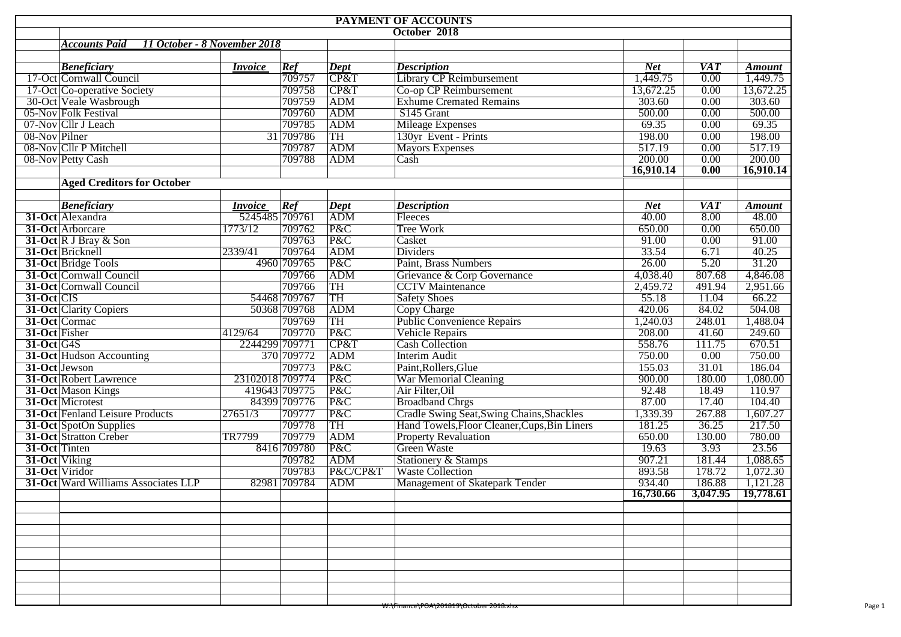|                | PAYMENT OF ACCOUNTS                                  |                 |                    |                   |                                                    |                       |            |                        |  |  |  |  |
|----------------|------------------------------------------------------|-----------------|--------------------|-------------------|----------------------------------------------------|-----------------------|------------|------------------------|--|--|--|--|
|                |                                                      | October 2018    |                    |                   |                                                    |                       |            |                        |  |  |  |  |
|                | <b>Accounts Paid</b><br>11 October - 8 November 2018 |                 |                    |                   |                                                    |                       |            |                        |  |  |  |  |
|                |                                                      |                 |                    |                   |                                                    |                       |            |                        |  |  |  |  |
|                | <b>Beneficiary</b>                                   | <i>Invoice</i>  | Ref                | $\vert$ Dept      | <b>Description</b>                                 | <b>Net</b>            | <b>VAT</b> | <b>Amount</b>          |  |  |  |  |
|                | 17-Oct Cornwall Council                              |                 | $\frac{1}{709757}$ | CF&T              | <b>Library CP Reimbursement</b>                    | $\overline{1,449.75}$ | 0.00       | $\overline{1,449.75}$  |  |  |  |  |
|                | 17-Oct Co-operative Society                          |                 | 709758             | CP&T              | Co-op CP Reimbursement                             | 13,672.25             | 0.00       | 13,672.25              |  |  |  |  |
|                | 30-Oct Veale Wasbrough                               |                 | 709759             | ADM               | <b>Exhume Cremated Remains</b>                     | 303.60                | 0.00       | 303.60                 |  |  |  |  |
|                | 05-Nov Folk Festival                                 |                 | 709760             | ADM               | S145 Grant                                         | 500.00                | 0.00       | 500.00                 |  |  |  |  |
|                | 07-Nov Cllr J Leach                                  |                 | 709785             | ADM               | <b>Mileage Expenses</b>                            | 69.35                 | 0.00       | 69.35                  |  |  |  |  |
| 08-Nov Pilner  |                                                      |                 | 31 709786          | TH                | 130yr Event - Prints                               | 198.00                | 0.00       | 198.00                 |  |  |  |  |
|                | 08-Nov Cllr P Mitchell                               |                 | 709787             | ADM               | <b>Mayors Expenses</b>                             | 517.19                | 0.00       | 517.19                 |  |  |  |  |
|                | 08-Nov Petty Cash                                    |                 | 709788             | ADM               | Cash                                               | 200.00                | 0.00       | 200.00                 |  |  |  |  |
|                |                                                      |                 |                    |                   |                                                    | 16,910.14             | 0.00       | 16,910.14              |  |  |  |  |
|                | <b>Aged Creditors for October</b>                    |                 |                    |                   |                                                    |                       |            |                        |  |  |  |  |
|                |                                                      |                 |                    |                   |                                                    |                       |            |                        |  |  |  |  |
|                | <b>Beneficiary</b>                                   | <i>Invoice</i>  | Ref                | $\overline{Dept}$ | <b>Description</b>                                 | <b>Net</b>            | <b>VAT</b> | <b>Amount</b>          |  |  |  |  |
|                | 31-Oct Alexandra                                     | 5245485 709761  |                    | ADM               | Fleeces                                            | $\overline{40.00}$    | 8.00       | 48.00                  |  |  |  |  |
|                | 31-Oct Arborcare                                     | 1773/12         | 709762             | P&C               | <b>Tree Work</b>                                   | 650.00                | 0.00       | 650.00                 |  |  |  |  |
|                | 31-Oct R J Bray & Son                                |                 | 709763             | P&C               | Casket                                             | 91.00                 | 0.00       | 91.00                  |  |  |  |  |
|                | 31-Oct Bricknell                                     | 2339/41         | 709764             | ADM               | <b>Dividers</b>                                    | 33.54                 | 6.71       | 40.25                  |  |  |  |  |
|                | 31-Oct Bridge Tools                                  |                 | 4960 709765        | P&C               | Paint, Brass Numbers                               | 26.00                 | 5.20       | 31.20                  |  |  |  |  |
|                | 31-Oct Cornwall Council                              |                 | 709766             | ADM               | Grievance & Corp Governance                        | 4,038.40              | 807.68     | 4,846.08               |  |  |  |  |
|                | 31-Oct Cornwall Council                              |                 | 709766             | TH                | <b>CCTV</b> Maintenance                            | 2,459.72              | 491.94     | 2,951.66               |  |  |  |  |
| 31-Oct CIS     |                                                      |                 | 54468 709767       | TH                | <b>Safety Shoes</b>                                | 55.18                 | 11.04      | 66.22                  |  |  |  |  |
|                | <b>31-Oct Clarity Copiers</b>                        |                 | 50368 709768       | ADM               | Copy Charge                                        | 420.06                | 84.02      | 504.08                 |  |  |  |  |
|                | 31-Oct Cormac                                        |                 | 709769             | TH                | <b>Public Convenience Repairs</b>                  | 1,240.03              | 248.01     | 1,488.04               |  |  |  |  |
| 31-Oct Fisher  |                                                      | 4129/64         | 709770             | P&C               | Vehicle Repairs                                    | 208.00                | 41.60      | 249.60                 |  |  |  |  |
| $31-Oct$ G4S   |                                                      | 2244299 709771  |                    | CP&T              | <b>Cash Collection</b>                             | 558.76                | 111.75     | 670.51                 |  |  |  |  |
|                | 31-Oct Hudson Accounting                             |                 | 370 709772         | ADM               | <b>Interim Audit</b>                               | 750.00                | 0.00       | 750.00                 |  |  |  |  |
| 31-Oct Jewson  |                                                      |                 | 709773             | P&C               | Paint, Rollers, Glue                               | 155.03                | 31.01      | 186.04                 |  |  |  |  |
|                | 31-Oct Robert Lawrence                               | 23102018 709774 |                    | P&C               | War Memorial Cleaning                              | 900.00                | 180.00     | 1,080.00               |  |  |  |  |
|                | <b>31-Oct Mason Kings</b>                            | 419643 709775   |                    | P&C               | Air Filter, Oil                                    | 92.48                 | 18.49      | 110.97                 |  |  |  |  |
|                | 31-Oct Microtest                                     |                 | 84399 709776       | P&C               | <b>Broadband Chrgs</b>                             | 87.00                 | 17.40      | 104.40                 |  |  |  |  |
|                | 31-Oct Fenland Leisure Products                      | 27651/3         | 709777             | P&C               | Cradle Swing Seat, Swing Chains, Shackles          | 1,339.39              | 267.88     | 1,607.27               |  |  |  |  |
|                | 31-Oct SpotOn Supplies                               |                 | 709778             | TH                | Hand Towels, Floor Cleaner, Cups, Bin Liners       | 181.25                | 36.25      | 217.50                 |  |  |  |  |
|                | 31-Oct Stratton Creber                               | TR7799          | 709779             | ADM               | <b>Property Revaluation</b>                        | 650.00                | 130.00     | 780.00                 |  |  |  |  |
| 31-Oct Tinten  |                                                      |                 | 8416 709780        | P&C               | Green Waste                                        | 19.63                 | 3.93       | 23.56                  |  |  |  |  |
| 31-Oct Viking  |                                                      |                 | 709782             | ADM               | Stationery & Stamps                                | 907.21                | 181.44     | 1,088.65               |  |  |  |  |
| 31-Oct Viridor |                                                      |                 | 709783             | P&C/CP&T          | <b>Waste Collection</b>                            | 893.58                | 178.72     | 1,072.30               |  |  |  |  |
|                | 31-Oct Ward Williams Associates LLP                  |                 | 82981 709784       | <b>ADM</b>        | <b>Management of Skatepark Tender</b>              | 934.40                | 186.88     | 1,121.28               |  |  |  |  |
|                |                                                      |                 |                    |                   |                                                    | 16,730.66             |            | $3,047.95$   19,778.61 |  |  |  |  |
|                |                                                      |                 |                    |                   |                                                    |                       |            |                        |  |  |  |  |
|                |                                                      |                 |                    |                   |                                                    |                       |            |                        |  |  |  |  |
|                |                                                      |                 |                    |                   |                                                    |                       |            |                        |  |  |  |  |
|                |                                                      |                 |                    |                   |                                                    |                       |            |                        |  |  |  |  |
|                |                                                      |                 |                    |                   |                                                    |                       |            |                        |  |  |  |  |
|                |                                                      |                 |                    |                   |                                                    |                       |            |                        |  |  |  |  |
|                |                                                      |                 |                    |                   |                                                    |                       |            |                        |  |  |  |  |
|                |                                                      |                 |                    |                   |                                                    |                       |            |                        |  |  |  |  |
|                |                                                      |                 |                    |                   |                                                    |                       |            |                        |  |  |  |  |
|                |                                                      |                 |                    |                   | <del>W:\Finance\POA\201819\October 2018.xlsx</del> |                       |            |                        |  |  |  |  |